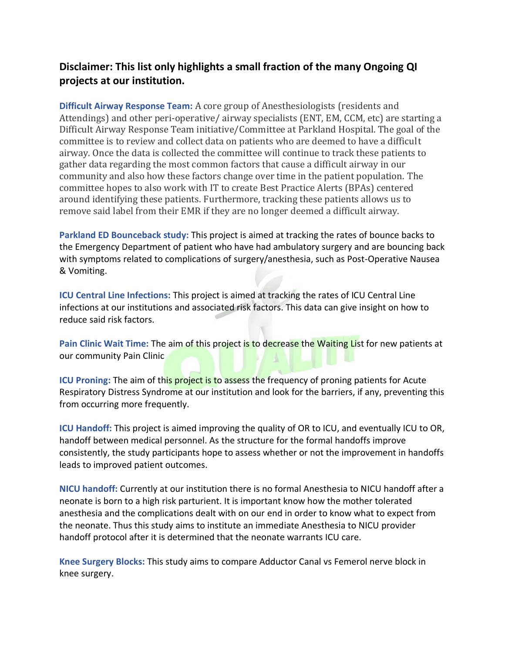## **Disclaimer: This list only highlights a small fraction of the many Ongoing QI projects at our institution.**

**Difficult Airway Response Team:** A core group of Anesthesiologists (residents and Attendings) and other peri-operative/ airway specialists (ENT, EM, CCM, etc) are starting a Difficult Airway Response Team initiative/Committee at Parkland Hospital. The goal of the committee is to review and collect data on patients who are deemed to have a difficult airway. Once the data is collected the committee will continue to track these patients to gather data regarding the most common factors that cause a difficult airway in our community and also how these factors change over time in the patient population. The committee hopes to also work with IT to create Best Practice Alerts (BPAs) centered around identifying these patients. Furthermore, tracking these patients allows us to remove said label from their EMR if they are no longer deemed a difficult airway.

**Parkland ED Bounceback study:** This project is aimed at tracking the rates of bounce backs to the Emergency Department of patient who have had ambulatory surgery and are bouncing back with symptoms related to complications of surgery/anesthesia, such as Post-Operative Nausea & Vomiting.

**ICU Central Line Infections:** This project is aimed at tracking the rates of ICU Central Line infections at our institutions and associated risk factors. This data can give insight on how to reduce said risk factors.

**Pain Clinic Wait Time:** The aim of this project is to decrease the Waiting List for new patients at our community Pain Clinic

**ICU Proning:** The aim of this project is to assess the frequency of proning patients for Acute Respiratory Distress Syndrome at our institution and look for the barriers, if any, preventing this from occurring more frequently.

**ICU Handoff:** This project is aimed improving the quality of OR to ICU, and eventually ICU to OR, handoff between medical personnel. As the structure for the formal handoffs improve consistently, the study participants hope to assess whether or not the improvement in handoffs leads to improved patient outcomes.

**NICU handoff:** Currently at our institution there is no formal Anesthesia to NICU handoff after a neonate is born to a high risk parturient. It is important know how the mother tolerated anesthesia and the complications dealt with on our end in order to know what to expect from the neonate. Thus this study aims to institute an immediate Anesthesia to NICU provider handoff protocol after it is determined that the neonate warrants ICU care.

**Knee Surgery Blocks:** This study aims to compare Adductor Canal vs Femerol nerve block in knee surgery.